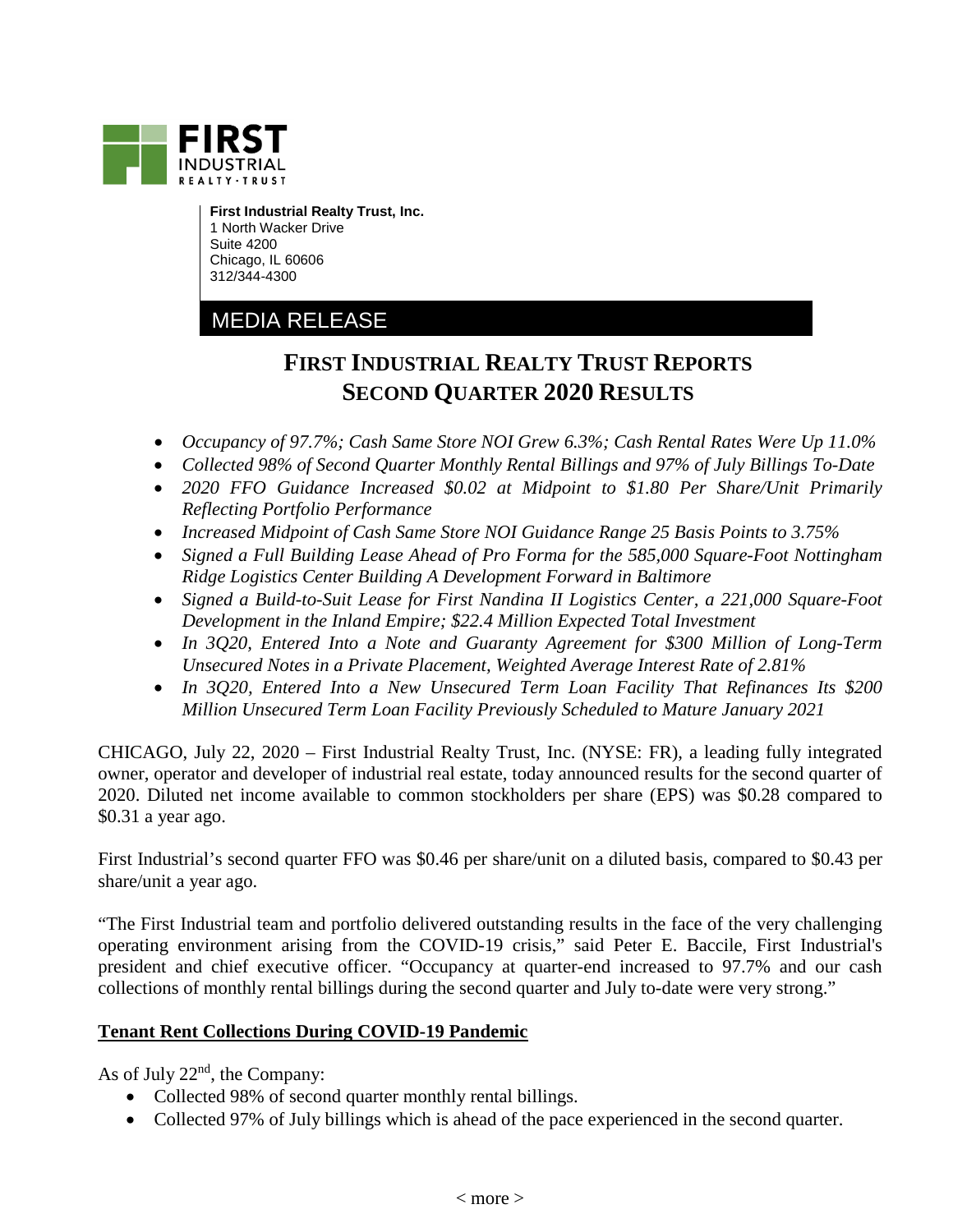

**First Industrial Realty Trust, Inc.** 1 North Wacker Drive Suite 4200 Chicago, IL 60606 312/344-4300

# MEDIA RELEASE

# **FIRST INDUSTRIAL REALTY TRUST REPORTS SECOND QUARTER 2020 RESULTS**

- *Occupancy of 97.7%; Cash Same Store NOI Grew 6.3%; Cash Rental Rates Were Up 11.0%*
- *Collected 98% of Second Quarter Monthly Rental Billings and 97% of July Billings To-Date*
- *2020 FFO Guidance Increased \$0.02 at Midpoint to \$1.80 Per Share/Unit Primarily Reflecting Portfolio Performance*
- *Increased Midpoint of Cash Same Store NOI Guidance Range 25 Basis Points to 3.75%*
- *Signed a Full Building Lease Ahead of Pro Forma for the 585,000 Square-Foot Nottingham Ridge Logistics Center Building A Development Forward in Baltimore*
- *Signed a Build-to-Suit Lease for First Nandina II Logistics Center, a 221,000 Square-Foot Development in the Inland Empire; \$22.4 Million Expected Total Investment*
- *In 3Q20, Entered Into a Note and Guaranty Agreement for \$300 Million of Long-Term Unsecured Notes in a Private Placement, Weighted Average Interest Rate of 2.81%*
- *In 3Q20, Entered Into a New Unsecured Term Loan Facility That Refinances Its \$200 Million Unsecured Term Loan Facility Previously Scheduled to Mature January 2021*

CHICAGO, July 22, 2020 – First Industrial Realty Trust, Inc. (NYSE: FR), a leading fully integrated owner, operator and developer of industrial real estate, today announced results for the second quarter of 2020. Diluted net income available to common stockholders per share (EPS) was \$0.28 compared to \$0.31 a year ago.

First Industrial's second quarter FFO was \$0.46 per share/unit on a diluted basis, compared to \$0.43 per share/unit a year ago.

"The First Industrial team and portfolio delivered outstanding results in the face of the very challenging operating environment arising from the COVID-19 crisis," said Peter E. Baccile, First Industrial's president and chief executive officer. "Occupancy at quarter-end increased to 97.7% and our cash collections of monthly rental billings during the second quarter and July to-date were very strong."

### **Tenant Rent Collections During COVID-19 Pandemic**

As of July  $22<sup>nd</sup>$ , the Company:

- Collected 98% of second quarter monthly rental billings.
- Collected 97% of July billings which is ahead of the pace experienced in the second quarter.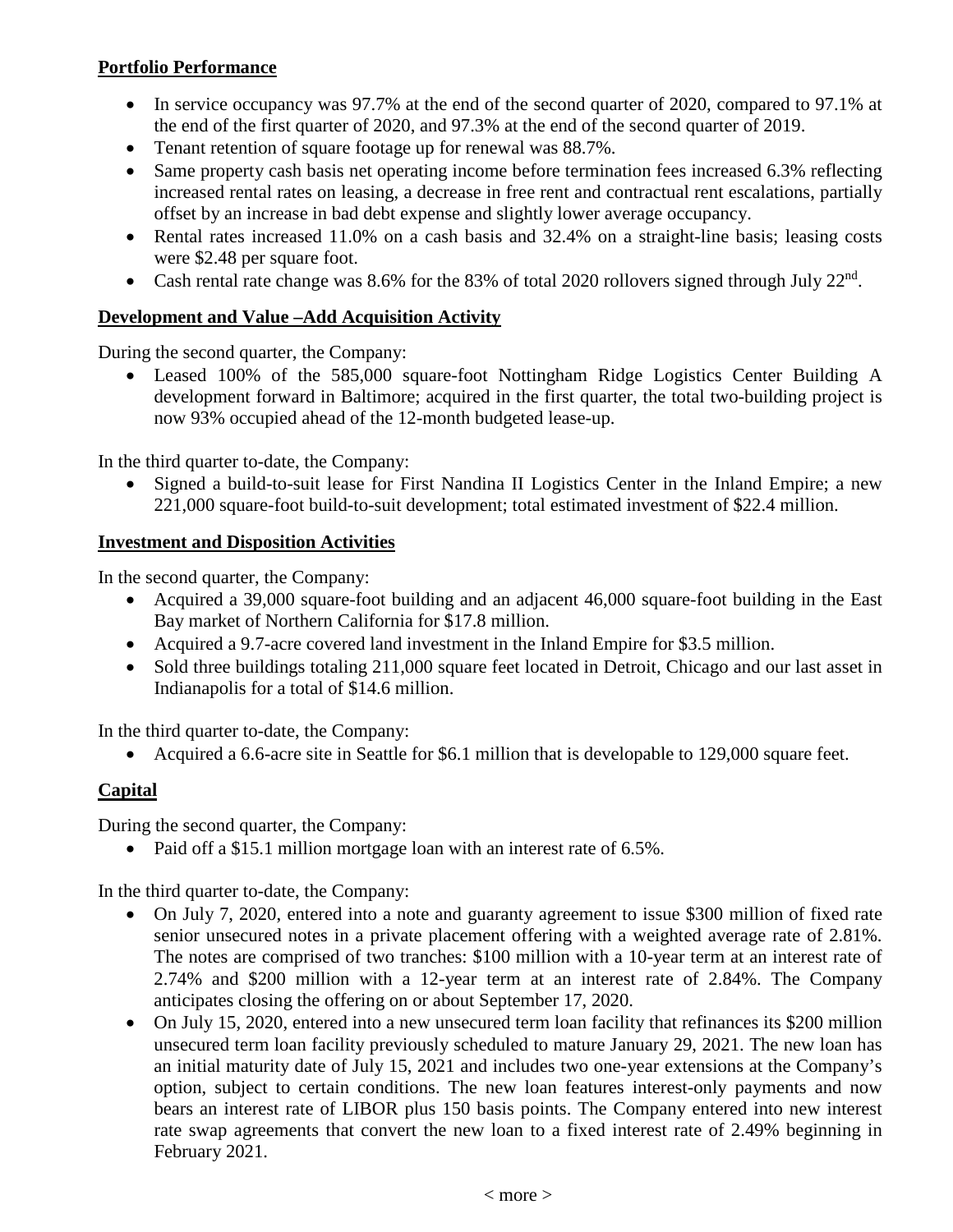## **Portfolio Performance**

- In service occupancy was 97.7% at the end of the second quarter of 2020, compared to 97.1% at the end of the first quarter of 2020, and 97.3% at the end of the second quarter of 2019.
- Tenant retention of square footage up for renewal was 88.7%.
- Same property cash basis net operating income before termination fees increased 6.3% reflecting increased rental rates on leasing, a decrease in free rent and contractual rent escalations, partially offset by an increase in bad debt expense and slightly lower average occupancy.
- Rental rates increased 11.0% on a cash basis and 32.4% on a straight-line basis; leasing costs were \$2.48 per square foot.
- Cash rental rate change was 8.6% for the 83% of total 2020 rollovers signed through July  $22<sup>nd</sup>$ .

# **Development and Value –Add Acquisition Activity**

During the second quarter, the Company:

• Leased 100% of the 585,000 square-foot Nottingham Ridge Logistics Center Building A development forward in Baltimore; acquired in the first quarter, the total two-building project is now 93% occupied ahead of the 12-month budgeted lease-up.

In the third quarter to-date, the Company:

• Signed a build-to-suit lease for First Nandina II Logistics Center in the Inland Empire; a new 221,000 square-foot build-to-suit development; total estimated investment of \$22.4 million.

# **Investment and Disposition Activities**

In the second quarter, the Company:

- Acquired a 39,000 square-foot building and an adjacent 46,000 square-foot building in the East Bay market of Northern California for \$17.8 million.
- Acquired a 9.7-acre covered land investment in the Inland Empire for \$3.5 million.
- Sold three buildings totaling 211,000 square feet located in Detroit, Chicago and our last asset in Indianapolis for a total of \$14.6 million.

In the third quarter to-date, the Company:

• Acquired a 6.6-acre site in Seattle for \$6.1 million that is developable to 129,000 square feet.

# **Capital**

During the second quarter, the Company:

• Paid off a \$15.1 million mortgage loan with an interest rate of 6.5%.

In the third quarter to-date, the Company:

- On July 7, 2020, entered into a note and guaranty agreement to issue \$300 million of fixed rate senior unsecured notes in a private placement offering with a weighted average rate of 2.81%. The notes are comprised of two tranches: \$100 million with a 10-year term at an interest rate of 2.74% and \$200 million with a 12-year term at an interest rate of 2.84%. The Company anticipates closing the offering on or about September 17, 2020.
- On July 15, 2020, entered into a new unsecured term loan facility that refinances its \$200 million unsecured term loan facility previously scheduled to mature January 29, 2021. The new loan has an initial maturity date of July 15, 2021 and includes two one-year extensions at the Company's option, subject to certain conditions. The new loan features interest-only payments and now bears an interest rate of LIBOR plus 150 basis points. The Company entered into new interest rate swap agreements that convert the new loan to a fixed interest rate of 2.49% beginning in February 2021.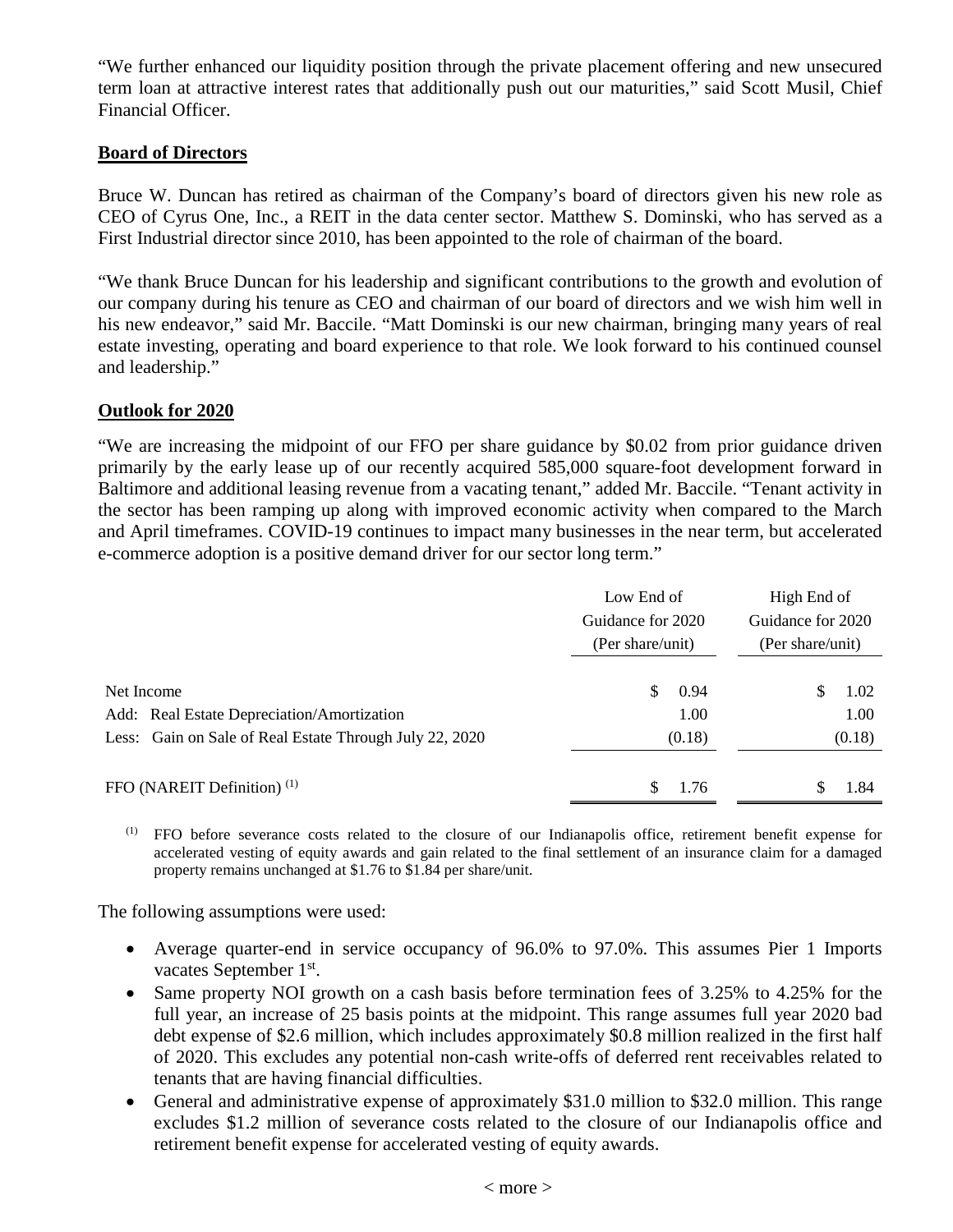"We further enhanced our liquidity position through the private placement offering and new unsecured term loan at attractive interest rates that additionally push out our maturities," said Scott Musil, Chief Financial Officer.

#### **Board of Directors**

Bruce W. Duncan has retired as chairman of the Company's board of directors given his new role as CEO of Cyrus One, Inc., a REIT in the data center sector. Matthew S. Dominski, who has served as a First Industrial director since 2010, has been appointed to the role of chairman of the board.

"We thank Bruce Duncan for his leadership and significant contributions to the growth and evolution of our company during his tenure as CEO and chairman of our board of directors and we wish him well in his new endeavor," said Mr. Baccile. "Matt Dominski is our new chairman, bringing many years of real estate investing, operating and board experience to that role. We look forward to his continued counsel and leadership."

#### **Outlook for 2020**

"We are increasing the midpoint of our FFO per share guidance by \$0.02 from prior guidance driven primarily by the early lease up of our recently acquired 585,000 square-foot development forward in Baltimore and additional leasing revenue from a vacating tenant," added Mr. Baccile. "Tenant activity in the sector has been ramping up along with improved economic activity when compared to the March and April timeframes. COVID-19 continues to impact many businesses in the near term, but accelerated e-commerce adoption is a positive demand driver for our sector long term."

|                                                                                                                     | Low End of<br>Guidance for 2020<br>(Per share/unit) | High End of<br>Guidance for 2020<br>(Per share/unit) |  |  |
|---------------------------------------------------------------------------------------------------------------------|-----------------------------------------------------|------------------------------------------------------|--|--|
| Net Income<br>Add: Real Estate Depreciation/Amortization<br>Less: Gain on Sale of Real Estate Through July 22, 2020 | 0.94<br>S.<br>1.00<br>(0.18)                        | S<br>1.02<br>1.00<br>(0.18)                          |  |  |
| FFO (NAREIT Definition) $(1)$                                                                                       | \$<br>1.76                                          | S<br>1.84                                            |  |  |

(1) FFO before severance costs related to the closure of our Indianapolis office, retirement benefit expense for accelerated vesting of equity awards and gain related to the final settlement of an insurance claim for a damaged property remains unchanged at \$1.76 to \$1.84 per share/unit.

The following assumptions were used:

- Average quarter-end in service occupancy of 96.0% to 97.0%. This assumes Pier 1 Imports vacates September 1<sup>st</sup>.
- Same property NOI growth on a cash basis before termination fees of 3.25% to 4.25% for the full year, an increase of 25 basis points at the midpoint. This range assumes full year 2020 bad debt expense of \$2.6 million, which includes approximately \$0.8 million realized in the first half of 2020. This excludes any potential non-cash write-offs of deferred rent receivables related to tenants that are having financial difficulties.
- General and administrative expense of approximately \$31.0 million to \$32.0 million. This range excludes \$1.2 million of severance costs related to the closure of our Indianapolis office and retirement benefit expense for accelerated vesting of equity awards.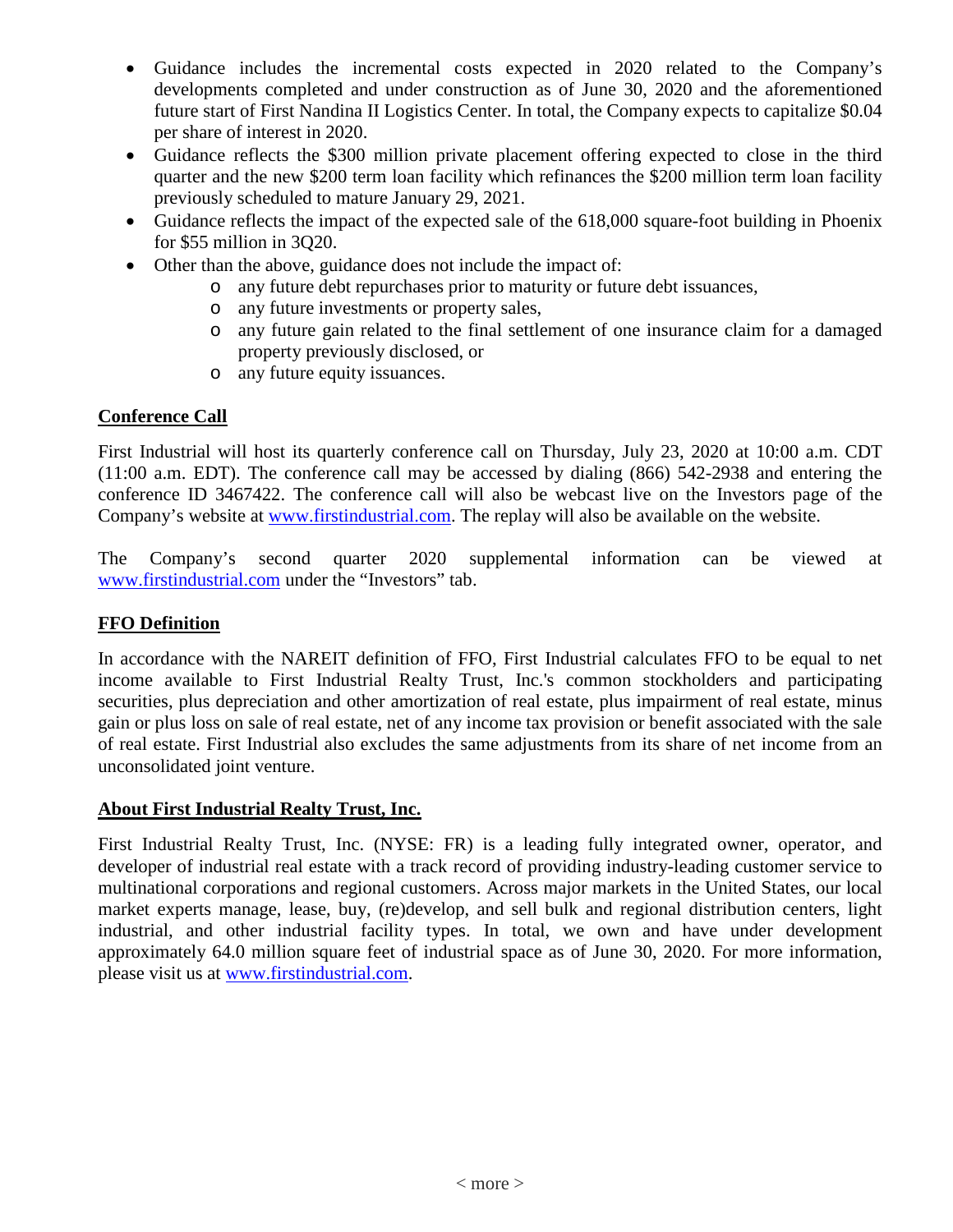- Guidance includes the incremental costs expected in 2020 related to the Company's developments completed and under construction as of June 30, 2020 and the aforementioned future start of First Nandina II Logistics Center. In total, the Company expects to capitalize \$0.04 per share of interest in 2020.
- Guidance reflects the \$300 million private placement offering expected to close in the third quarter and the new \$200 term loan facility which refinances the \$200 million term loan facility previously scheduled to mature January 29, 2021.
- Guidance reflects the impact of the expected sale of the 618,000 square-foot building in Phoenix for \$55 million in 3Q20.
- Other than the above, guidance does not include the impact of:
	- o any future debt repurchases prior to maturity or future debt issuances,
	- o any future investments or property sales,
	- o any future gain related to the final settlement of one insurance claim for a damaged property previously disclosed, or
	- o any future equity issuances.

### **Conference Call**

First Industrial will host its quarterly conference call on Thursday, July 23, 2020 at 10:00 a.m. CDT (11:00 a.m. EDT). The conference call may be accessed by dialing (866) 542-2938 and entering the conference ID 3467422. The conference call will also be webcast live on the Investors page of the Company's website at [www.firstindustrial.com.](http://www.firstindustrial.com/) The replay will also be available on the website.

The Company's second quarter 2020 supplemental information can be viewed at [www.firstindustrial.com](http://www.firstindustrial.com/) under the "Investors" tab.

# **FFO Definition**

In accordance with the NAREIT definition of FFO, First Industrial calculates FFO to be equal to net income available to First Industrial Realty Trust, Inc.'s common stockholders and participating securities, plus depreciation and other amortization of real estate, plus impairment of real estate, minus gain or plus loss on sale of real estate, net of any income tax provision or benefit associated with the sale of real estate. First Industrial also excludes the same adjustments from its share of net income from an unconsolidated joint venture.

### **About First Industrial Realty Trust, Inc.**

First Industrial Realty Trust, Inc. (NYSE: FR) is a leading fully integrated owner, operator, and developer of industrial real estate with a track record of providing industry-leading customer service to multinational corporations and regional customers. Across major markets in the United States, our local market experts manage, lease, buy, (re)develop, and sell bulk and regional distribution centers, light industrial, and other industrial facility types. In total, we own and have under development approximately 64.0 million square feet of industrial space as of June 30, 2020. For more information, please visit us at [www.firstindustrial.com.](http://www.firstindustrial.com/)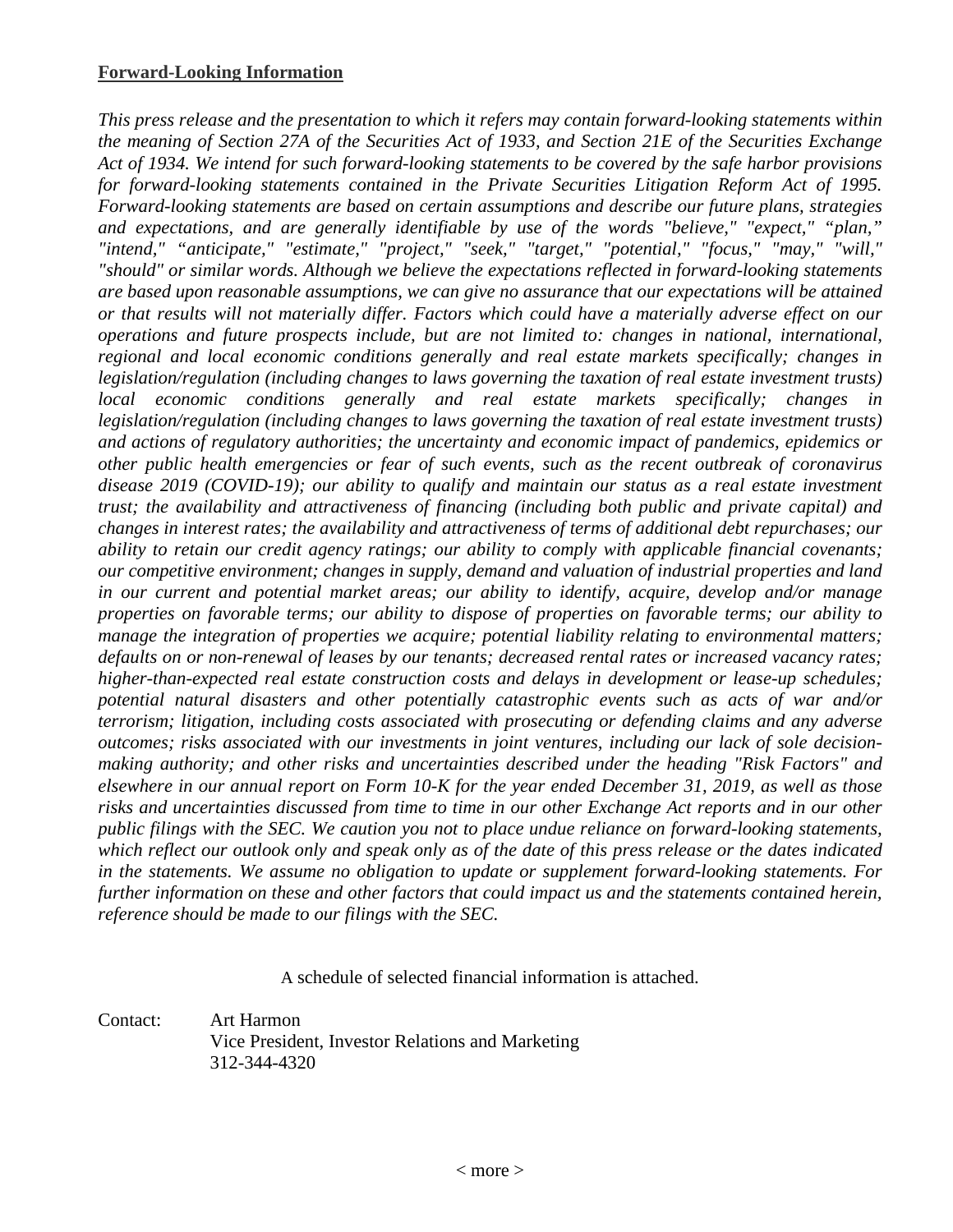*This press release and the presentation to which it refers may contain forward-looking statements within the meaning of Section 27A of the Securities Act of 1933, and Section 21E of the Securities Exchange Act of 1934. We intend for such forward-looking statements to be covered by the safe harbor provisions for forward-looking statements contained in the Private Securities Litigation Reform Act of 1995. Forward-looking statements are based on certain assumptions and describe our future plans, strategies and expectations, and are generally identifiable by use of the words "believe," "expect," "plan," "intend," "anticipate," "estimate," "project," "seek," "target," "potential," "focus," "may," "will," "should" or similar words. Although we believe the expectations reflected in forward-looking statements are based upon reasonable assumptions, we can give no assurance that our expectations will be attained or that results will not materially differ. Factors which could have a materially adverse effect on our operations and future prospects include, but are not limited to: changes in national, international, regional and local economic conditions generally and real estate markets specifically; changes in legislation/regulation (including changes to laws governing the taxation of real estate investment trusts) local economic conditions generally and real estate markets specifically; changes in legislation/regulation (including changes to laws governing the taxation of real estate investment trusts) and actions of regulatory authorities; the uncertainty and economic impact of pandemics, epidemics or other public health emergencies or fear of such events, such as the recent outbreak of coronavirus disease 2019 (COVID-19); our ability to qualify and maintain our status as a real estate investment trust; the availability and attractiveness of financing (including both public and private capital) and changes in interest rates; the availability and attractiveness of terms of additional debt repurchases; our ability to retain our credit agency ratings; our ability to comply with applicable financial covenants; our competitive environment; changes in supply, demand and valuation of industrial properties and land in our current and potential market areas; our ability to identify, acquire, develop and/or manage properties on favorable terms; our ability to dispose of properties on favorable terms; our ability to manage the integration of properties we acquire; potential liability relating to environmental matters; defaults on or non-renewal of leases by our tenants; decreased rental rates or increased vacancy rates; higher-than-expected real estate construction costs and delays in development or lease-up schedules; potential natural disasters and other potentially catastrophic events such as acts of war and/or terrorism; litigation, including costs associated with prosecuting or defending claims and any adverse outcomes; risks associated with our investments in joint ventures, including our lack of sole decisionmaking authority; and other risks and uncertainties described under the heading "Risk Factors" and elsewhere in our annual report on Form 10-K for the year ended December 31, 2019, as well as those risks and uncertainties discussed from time to time in our other Exchange Act reports and in our other public filings with the SEC. We caution you not to place undue reliance on forward-looking statements, which reflect our outlook only and speak only as of the date of this press release or the dates indicated in the statements. We assume no obligation to update or supplement forward-looking statements. For further information on these and other factors that could impact us and the statements contained herein, reference should be made to our filings with the SEC.*

A schedule of selected financial information is attached.

Contact: Art Harmon Vice President, Investor Relations and Marketing 312-344-4320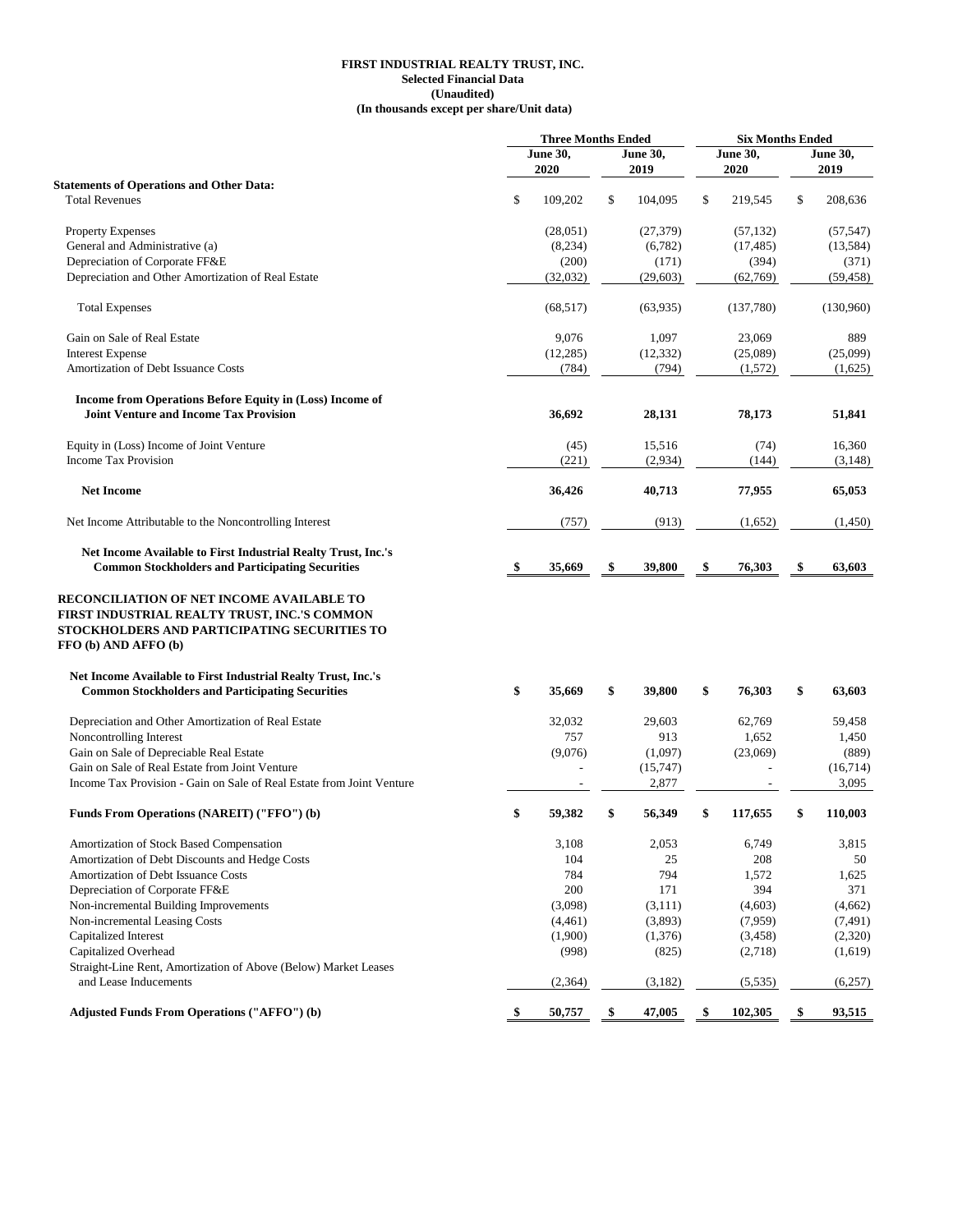#### **FIRST INDUSTRIAL REALTY TRUST, INC. Selected Financial Data (Unaudited) (In thousands except per share/Unit data)**

|                                                                                                                                                                   | <b>Three Months Ended</b> |                 |    | <b>Six Months Ended</b> |    |                 |    |                 |
|-------------------------------------------------------------------------------------------------------------------------------------------------------------------|---------------------------|-----------------|----|-------------------------|----|-----------------|----|-----------------|
|                                                                                                                                                                   |                           | <b>June 30,</b> |    | <b>June 30,</b>         |    | <b>June 30,</b> |    | <b>June 30,</b> |
|                                                                                                                                                                   |                           | 2020            |    | 2019                    |    | 2020            |    | 2019            |
| <b>Statements of Operations and Other Data:</b>                                                                                                                   |                           |                 |    |                         |    |                 |    |                 |
| <b>Total Revenues</b>                                                                                                                                             | \$                        | 109,202         | \$ | 104,095                 | \$ | 219,545         | \$ | 208,636         |
| Property Expenses                                                                                                                                                 |                           | (28,051)        |    | (27, 379)               |    | (57, 132)       |    | (57, 547)       |
| General and Administrative (a)                                                                                                                                    |                           | (8,234)         |    | (6,782)                 |    | (17, 485)       |    | (13, 584)       |
| Depreciation of Corporate FF&E                                                                                                                                    |                           | (200)           |    | (171)                   |    | (394)           |    | (371)           |
| Depreciation and Other Amortization of Real Estate                                                                                                                |                           | (32,032)        |    | (29, 603)               |    | (62,769)        |    | (59, 458)       |
| <b>Total Expenses</b>                                                                                                                                             |                           | (68, 517)       |    | (63,935)                |    | (137,780)       |    | (130,960)       |
| Gain on Sale of Real Estate                                                                                                                                       |                           | 9,076           |    | 1,097                   |    | 23,069          |    | 889             |
| <b>Interest Expense</b>                                                                                                                                           |                           | (12, 285)       |    | (12, 332)               |    | (25,089)        |    | (25,099)        |
| Amortization of Debt Issuance Costs                                                                                                                               |                           | (784)           |    | (794)                   |    | (1, 572)        |    | (1,625)         |
| Income from Operations Before Equity in (Loss) Income of                                                                                                          |                           |                 |    |                         |    |                 |    |                 |
| <b>Joint Venture and Income Tax Provision</b>                                                                                                                     |                           | 36,692          |    | 28,131                  |    | 78,173          |    | 51,841          |
| Equity in (Loss) Income of Joint Venture                                                                                                                          |                           | (45)            |    | 15,516                  |    | (74)            |    | 16,360          |
| <b>Income Tax Provision</b>                                                                                                                                       |                           | (221)           |    | (2,934)                 |    | (144)           |    | (3,148)         |
| <b>Net Income</b>                                                                                                                                                 |                           | 36,426          |    | 40,713                  |    | 77,955          |    | 65,053          |
| Net Income Attributable to the Noncontrolling Interest                                                                                                            |                           | (757)           |    | (913)                   |    | (1,652)         |    | (1,450)         |
| Net Income Available to First Industrial Realty Trust, Inc.'s                                                                                                     |                           |                 |    |                         |    |                 |    |                 |
| <b>Common Stockholders and Participating Securities</b>                                                                                                           | S,                        | 35,669          | \$ | 39,800                  | \$ | 76,303          | \$ | 63,603          |
| RECONCILIATION OF NET INCOME AVAILABLE TO<br>FIRST INDUSTRIAL REALTY TRUST, INC.'S COMMON<br>STOCKHOLDERS AND PARTICIPATING SECURITIES TO<br>FFO (b) AND AFFO (b) |                           |                 |    |                         |    |                 |    |                 |
| Net Income Available to First Industrial Realty Trust, Inc.'s                                                                                                     |                           |                 |    |                         |    |                 |    |                 |
| <b>Common Stockholders and Participating Securities</b>                                                                                                           | \$                        | 35,669          | \$ | 39,800                  | \$ | 76,303          | \$ | 63,603          |
| Depreciation and Other Amortization of Real Estate                                                                                                                |                           | 32,032          |    | 29,603                  |    | 62,769          |    | 59,458          |
| Noncontrolling Interest                                                                                                                                           |                           | 757             |    | 913                     |    | 1,652           |    | 1,450           |
| Gain on Sale of Depreciable Real Estate                                                                                                                           |                           | (9,076)         |    | (1,097)                 |    | (23,069)        |    | (889)           |
| Gain on Sale of Real Estate from Joint Venture                                                                                                                    |                           |                 |    | (15,747)                |    |                 |    | (16,714)        |
| Income Tax Provision - Gain on Sale of Real Estate from Joint Venture                                                                                             |                           |                 |    | 2,877                   |    |                 |    | 3,095           |
| Funds From Operations (NAREIT) ("FFO") (b)                                                                                                                        | \$                        | 59,382          | \$ | 56,349                  | \$ | 117.655         | \$ | 110,003         |
| Amortization of Stock Based Compensation                                                                                                                          |                           | 3,108           |    | 2,053                   |    | 6,749           |    | 3,815           |
| Amortization of Debt Discounts and Hedge Costs                                                                                                                    |                           | 104             |    | 25                      |    | 208             |    | 50              |
| Amortization of Debt Issuance Costs                                                                                                                               |                           | 784             |    | 794                     |    | 1,572           |    | 1,625           |
| Depreciation of Corporate FF&E                                                                                                                                    |                           | 200             |    | 171                     |    | 394             |    | 371             |
| Non-incremental Building Improvements                                                                                                                             |                           | (3,098)         |    | (3,111)                 |    | (4,603)         |    | (4,662)         |
| Non-incremental Leasing Costs                                                                                                                                     |                           | (4,461)         |    | (3,893)                 |    | (7,959)         |    | (7, 491)        |
| Capitalized Interest                                                                                                                                              |                           | (1,900)         |    | (1,376)                 |    | (3,458)         |    | (2,320)         |
| Capitalized Overhead                                                                                                                                              |                           | (998)           |    | (825)                   |    | (2,718)         |    | (1,619)         |
| Straight-Line Rent, Amortization of Above (Below) Market Leases                                                                                                   |                           |                 |    |                         |    |                 |    |                 |
| and Lease Inducements                                                                                                                                             |                           | (2, 364)        |    | (3,182)                 |    | (5, 535)        |    | (6,257)         |
| <b>Adjusted Funds From Operations ("AFFO") (b)</b>                                                                                                                | \$                        | 50,757          | \$ | 47,005                  | \$ | 102,305         | \$ | 93,515          |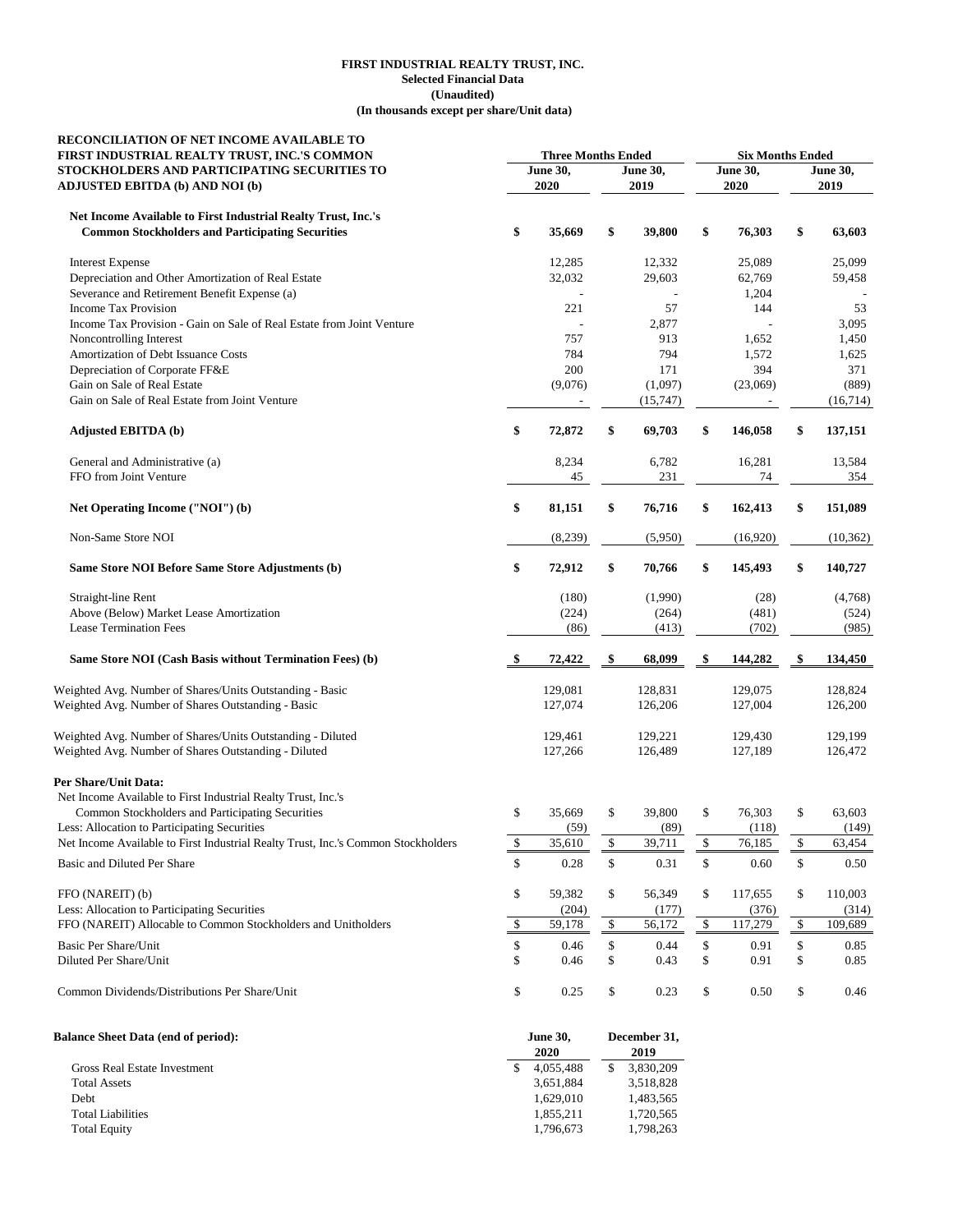#### **(Unaudited) (In thousands except per share/Unit data) FIRST INDUSTRIAL REALTY TRUST, INC. Selected Financial Data**

| RECONCILIATION OF NET INCOME AVAILABLE TO<br>FIRST INDUSTRIAL REALTY TRUST, INC.'S COMMON                                | <b>Three Months Ended</b> |                     |    | <b>Six Months Ended</b> |                         |          |                         |              |
|--------------------------------------------------------------------------------------------------------------------------|---------------------------|---------------------|----|-------------------------|-------------------------|----------|-------------------------|--------------|
| STOCKHOLDERS AND PARTICIPATING SECURITIES TO<br><b>ADJUSTED EBITDA (b) AND NOI (b)</b>                                   | <b>June 30,</b><br>2020   |                     |    | <b>June 30,</b><br>2019 | <b>June 30,</b><br>2020 |          | <b>June 30,</b><br>2019 |              |
|                                                                                                                          |                           |                     |    |                         |                         |          |                         |              |
| Net Income Available to First Industrial Realty Trust, Inc.'s<br><b>Common Stockholders and Participating Securities</b> | \$                        | 35,669              | \$ | 39,800                  | \$                      | 76,303   | \$                      | 63,603       |
| <b>Interest Expense</b>                                                                                                  |                           | 12,285              |    | 12,332                  |                         | 25,089   |                         | 25,099       |
| Depreciation and Other Amortization of Real Estate                                                                       |                           | 32,032              |    | 29,603                  |                         | 62,769   |                         | 59,458       |
| Severance and Retirement Benefit Expense (a)                                                                             |                           |                     |    |                         |                         | 1,204    |                         |              |
| <b>Income Tax Provision</b>                                                                                              |                           | 221                 |    | 57                      |                         | 144      |                         | 53           |
| Income Tax Provision - Gain on Sale of Real Estate from Joint Venture                                                    |                           |                     |    | 2,877                   |                         |          |                         | 3,095        |
| Noncontrolling Interest                                                                                                  |                           | 757                 |    | 913                     |                         | 1,652    |                         | 1,450        |
| Amortization of Debt Issuance Costs                                                                                      |                           | 784                 |    | 794                     |                         | 1,572    |                         | 1,625        |
| Depreciation of Corporate FF&E<br>Gain on Sale of Real Estate                                                            |                           | 200                 |    | 171                     |                         | 394      |                         | 371<br>(889) |
| Gain on Sale of Real Estate from Joint Venture                                                                           |                           | (9,076)             |    | (1,097)<br>(15,747)     |                         | (23,069) |                         | (16,714)     |
| <b>Adjusted EBITDA (b)</b>                                                                                               | \$                        | 72,872              | \$ | 69,703                  | \$                      | 146,058  | \$                      | 137,151      |
|                                                                                                                          |                           |                     |    |                         |                         |          |                         |              |
| General and Administrative (a)<br>FFO from Joint Venture                                                                 |                           | 8,234               |    | 6,782<br>231            |                         | 16,281   |                         | 13,584       |
|                                                                                                                          |                           | 45                  |    |                         |                         | 74       |                         | 354          |
| Net Operating Income ("NOI") (b)                                                                                         | \$                        | 81,151              | \$ | 76,716                  | \$                      | 162,413  | \$                      | 151,089      |
| Non-Same Store NOI                                                                                                       |                           | (8,239)             |    | (5,950)                 |                         | (16,920) |                         | (10, 362)    |
| Same Store NOI Before Same Store Adjustments (b)                                                                         | \$                        | 72,912              | \$ | 70,766                  | \$                      | 145,493  | \$                      | 140,727      |
| Straight-line Rent                                                                                                       |                           | (180)               |    | (1,990)                 |                         | (28)     |                         | (4,768)      |
| Above (Below) Market Lease Amortization                                                                                  |                           | (224)               |    | (264)                   |                         | (481)    |                         | (524)        |
| <b>Lease Termination Fees</b>                                                                                            |                           | (86)                |    | (413)                   |                         | (702)    |                         | (985)        |
| Same Store NOI (Cash Basis without Termination Fees) (b)                                                                 |                           | 72,422              | \$ | 68,099                  | \$                      | 144,282  | \$                      | 134,450      |
| Weighted Avg. Number of Shares/Units Outstanding - Basic                                                                 |                           | 129,081             |    | 128,831                 |                         | 129,075  |                         | 128,824      |
| Weighted Avg. Number of Shares Outstanding - Basic                                                                       |                           | 127,074             |    | 126,206                 |                         | 127,004  |                         | 126,200      |
| Weighted Avg. Number of Shares/Units Outstanding - Diluted                                                               |                           | 129,461             |    | 129,221                 |                         | 129,430  |                         | 129,199      |
| Weighted Avg. Number of Shares Outstanding - Diluted                                                                     |                           | 127,266             |    | 126,489                 |                         | 127,189  |                         | 126,472      |
| <b>Per Share/Unit Data:</b>                                                                                              |                           |                     |    |                         |                         |          |                         |              |
| Net Income Available to First Industrial Realty Trust, Inc.'s                                                            |                           |                     |    |                         |                         |          |                         |              |
| Common Stockholders and Participating Securities                                                                         | \$                        | 35,669              | \$ | 39,800                  | \$                      | 76,303   | \$                      | 63,603       |
| Less: Allocation to Participating Securities                                                                             |                           | (59)                |    | (89)                    |                         | (118)    |                         | (149)        |
| Net Income Available to First Industrial Realty Trust, Inc.'s Common Stockholders                                        | $\sqrt{\frac{2}{5}}$      | 35,610              | \$ | 39,711                  | \$                      | 76,185   | \$                      | 63,454       |
| Basic and Diluted Per Share                                                                                              | \$                        | 0.28                | \$ | 0.31                    | \$                      | 0.60     | \$                      | 0.50         |
| FFO (NAREIT) (b)                                                                                                         | \$                        | 59,382              | \$ | 56,349                  | \$                      | 117,655  | \$                      | 110,003      |
| Less: Allocation to Participating Securities                                                                             |                           | (204)               |    | (177)                   |                         | (376)    |                         | (314)        |
| FFO (NAREIT) Allocable to Common Stockholders and Unitholders                                                            | \$                        | 59,178              | \$ | 56,172                  | \$                      | 117,279  | $\frac{1}{2}$           | 109,689      |
| <b>Basic Per Share/Unit</b>                                                                                              | \$                        | 0.46                | \$ | 0.44                    | \$                      | 0.91     | \$                      | 0.85         |
| Diluted Per Share/Unit                                                                                                   | \$                        | 0.46                | \$ | 0.43                    | \$                      | 0.91     | \$                      | 0.85         |
| Common Dividends/Distributions Per Share/Unit                                                                            | \$                        | 0.25                | \$ | 0.23                    | \$                      | 0.50     | \$                      | 0.46         |
| Ralance Sheet Data (end of neriod):                                                                                      |                           | $_{\text{Iuno}}$ 30 |    | Docombor 21             |                         |          |                         |              |

| <b>Balance Sheet Data (end of period):</b> | <b>June 30,</b> |           |  | December 31, |  |  |
|--------------------------------------------|-----------------|-----------|--|--------------|--|--|
|                                            |                 | 2020      |  | 2019         |  |  |
| Gross Real Estate Investment               |                 | 4.055.488 |  | 3,830,209    |  |  |
| <b>Total Assets</b>                        |                 | 3.651.884 |  | 3,518,828    |  |  |
| <b>Debt</b>                                |                 | 1.629.010 |  | 1,483,565    |  |  |
| <b>Total Liabilities</b>                   |                 | 1.855.211 |  | 1,720,565    |  |  |
| <b>Total Equity</b>                        |                 | 1,796,673 |  | 1,798,263    |  |  |